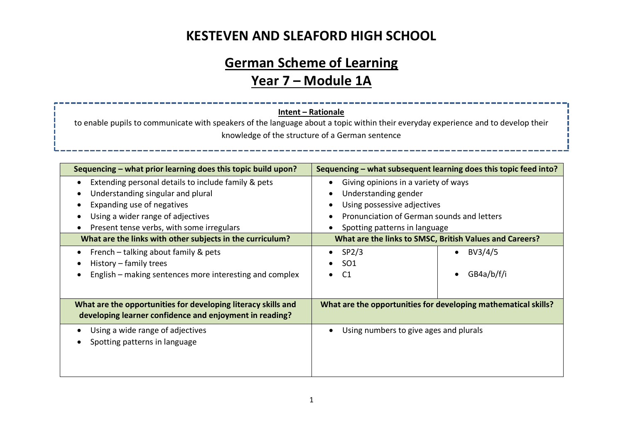#### **KESTEVEN AND SLEAFORD HIGH SCHOOL**

# **German Scheme of Learning Year 7 – Module 1A**

#### **Intent – Rationale**

to enable pupils to communicate with speakers of the language about a topic within their everyday experience and to develop their knowledge of the structure of a German sentence

| Sequencing – what prior learning does this topic build upon?                                                                                                                                                                                                                                    | Sequencing - what subsequent learning does this topic feed into?                                                                                                                                                                      |  |  |
|-------------------------------------------------------------------------------------------------------------------------------------------------------------------------------------------------------------------------------------------------------------------------------------------------|---------------------------------------------------------------------------------------------------------------------------------------------------------------------------------------------------------------------------------------|--|--|
| Extending personal details to include family & pets<br>$\bullet$<br>Understanding singular and plural<br>Expanding use of negatives<br>Using a wider range of adjectives<br>Present tense verbs, with some irregulars<br>$\bullet$<br>What are the links with other subjects in the curriculum? | Giving opinions in a variety of ways<br>Understanding gender<br>Using possessive adjectives<br>Pronunciation of German sounds and letters<br>Spotting patterns in language<br>What are the links to SMSC, British Values and Careers? |  |  |
| French – talking about family & pets<br>History – family trees<br>English – making sentences more interesting and complex                                                                                                                                                                       | SP <sub>2</sub> /3<br>BV3/4/5<br>$\bullet$<br>SO <sub>1</sub><br>GB4a/b/f/i<br>C1                                                                                                                                                     |  |  |
| What are the opportunities for developing literacy skills and<br>developing learner confidence and enjoyment in reading?                                                                                                                                                                        | What are the opportunities for developing mathematical skills?                                                                                                                                                                        |  |  |
| Using a wide range of adjectives<br>Spotting patterns in language                                                                                                                                                                                                                               | Using numbers to give ages and plurals                                                                                                                                                                                                |  |  |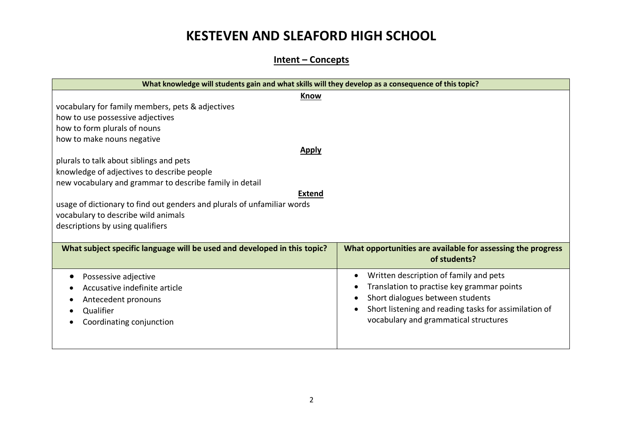## **KESTEVEN AND SLEAFORD HIGH SCHOOL**

#### **Intent – Concepts**

| What knowledge will students gain and what skills will they develop as a consequence of this topic? |                                                             |  |  |  |  |
|-----------------------------------------------------------------------------------------------------|-------------------------------------------------------------|--|--|--|--|
| Know                                                                                                |                                                             |  |  |  |  |
| vocabulary for family members, pets & adjectives                                                    |                                                             |  |  |  |  |
| how to use possessive adjectives                                                                    |                                                             |  |  |  |  |
| how to form plurals of nouns                                                                        |                                                             |  |  |  |  |
| how to make nouns negative                                                                          |                                                             |  |  |  |  |
| <b>Apply</b>                                                                                        |                                                             |  |  |  |  |
| plurals to talk about siblings and pets                                                             |                                                             |  |  |  |  |
| knowledge of adjectives to describe people                                                          |                                                             |  |  |  |  |
| new vocabulary and grammar to describe family in detail                                             |                                                             |  |  |  |  |
| <b>Extend</b>                                                                                       |                                                             |  |  |  |  |
| usage of dictionary to find out genders and plurals of unfamiliar words                             |                                                             |  |  |  |  |
| vocabulary to describe wild animals                                                                 |                                                             |  |  |  |  |
| descriptions by using qualifiers                                                                    |                                                             |  |  |  |  |
|                                                                                                     |                                                             |  |  |  |  |
| What subject specific language will be used and developed in this topic?                            | What opportunities are available for assessing the progress |  |  |  |  |
|                                                                                                     | of students?                                                |  |  |  |  |
| Possessive adjective                                                                                | Written description of family and pets                      |  |  |  |  |
| Accusative indefinite article                                                                       | Translation to practise key grammar points                  |  |  |  |  |
| Antecedent pronouns                                                                                 | Short dialogues between students                            |  |  |  |  |
| Qualifier                                                                                           | Short listening and reading tasks for assimilation of       |  |  |  |  |
|                                                                                                     | vocabulary and grammatical structures                       |  |  |  |  |
| Coordinating conjunction                                                                            |                                                             |  |  |  |  |
|                                                                                                     |                                                             |  |  |  |  |
|                                                                                                     |                                                             |  |  |  |  |